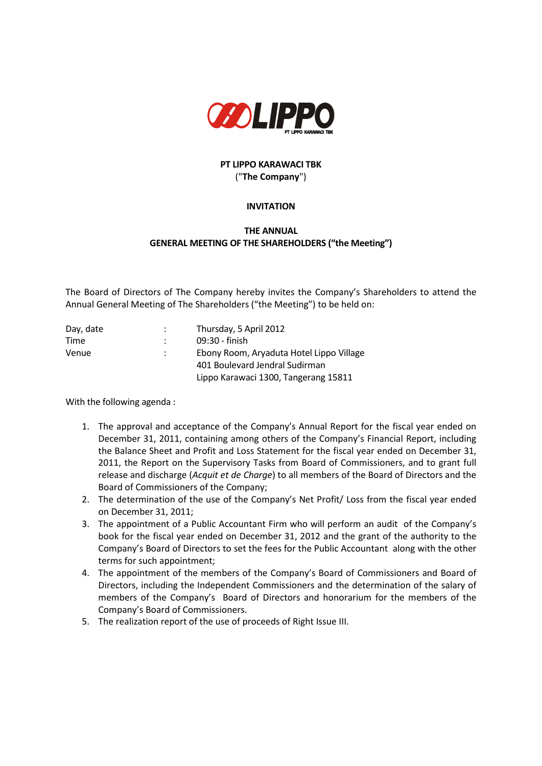

## **PT LIPPO KARAWACI TBK** ("**The Company**")

## **INVITATION**

## **THE ANNUAL GENERAL MEETING OF THE SHAREHOLDERS ("the Meeting")**

The Board of Directors of The Company hereby invites the Company's Shareholders to attend the Annual General Meeting of The Shareholders ("the Meeting") to be held on:

| Day, date | Thursday, 5 April 2012                   |
|-----------|------------------------------------------|
| Time      | 09:30 - finish                           |
| Venue     | Ebony Room, Aryaduta Hotel Lippo Village |
|           | 401 Boulevard Jendral Sudirman           |
|           | Lippo Karawaci 1300, Tangerang 15811     |

With the following agenda :

- 1. The approval and acceptance of the Company's Annual Report for the fiscal year ended on December 31, 2011, containing among others of the Company's Financial Report, including the Balance Sheet and Profit and Loss Statement for the fiscal year ended on December 31, 2011, the Report on the Supervisory Tasks from Board of Commissioners, and to grant full release and discharge (*Acquit et de Charge*) to all members of the Board of Directors and the Board of Commissioners of the Company;
- 2. The determination of the use of the Company's Net Profit/ Loss from the fiscal year ended on December 31, 2011;
- 3. The appointment of a Public Accountant Firm who will perform an audit of the Company's book for the fiscal year ended on December 31, 2012 and the grant of the authority to the Company's Board of Directors to set the fees for the Public Accountant along with the other terms for such appointment;
- 4. The appointment of the members of the Company's Board of Commissioners and Board of Directors, including the Independent Commissioners and the determination of the salary of members of the Company's Board of Directors and honorarium for the members of the Company's Board of Commissioners.
- 5. The realization report of the use of proceeds of Right Issue III.